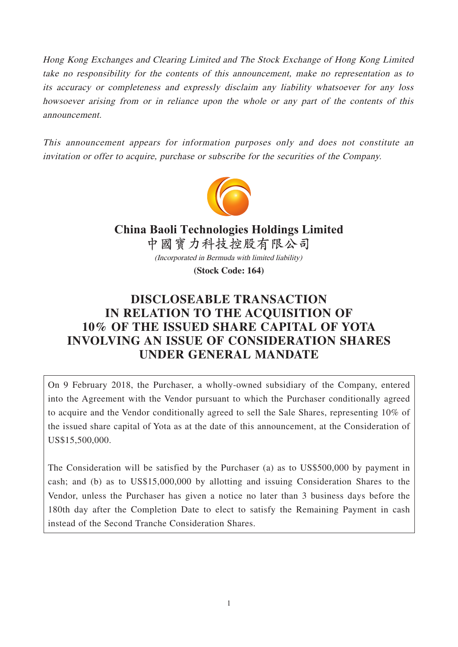Hong Kong Exchanges and Clearing Limited and The Stock Exchange of Hong Kong Limited take no responsibility for the contents of this announcement, make no representation as to its accuracy or completeness and expressly disclaim any liability whatsoever for any loss howsoever arising from or in reliance upon the whole or any part of the contents of this announcement.

This announcement appears for information purposes only and does not constitute an invitation or offer to acquire, purchase or subscribe for the securities of the Company.



(Incorporated in Bermuda with limited liability) **China Baoli Technologies Holdings Limited 中國寶力科技控股有限公司**

**(Stock Code: 164)**

# **DISCLOSEABLE TRANSACTION IN RELATION TO THE ACQUISITION OF 10% OF THE ISSUED SHARE CAPITAL OF YOTA INVOLVING AN ISSUE OF CONSIDERATION SHARES UNDER GENERAL MANDATE**

On 9 February 2018, the Purchaser, a wholly-owned subsidiary of the Company, entered into the Agreement with the Vendor pursuant to which the Purchaser conditionally agreed to acquire and the Vendor conditionally agreed to sell the Sale Shares, representing 10% of the issued share capital of Yota as at the date of this announcement, at the Consideration of US\$15,500,000.

The Consideration will be satisfied by the Purchaser (a) as to US\$500,000 by payment in cash; and (b) as to US\$15,000,000 by allotting and issuing Consideration Shares to the Vendor, unless the Purchaser has given a notice no later than 3 business days before the 180th day after the Completion Date to elect to satisfy the Remaining Payment in cash instead of the Second Tranche Consideration Shares.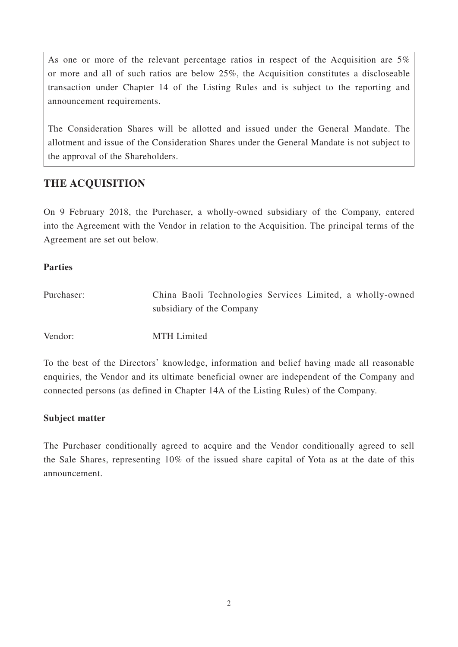As one or more of the relevant percentage ratios in respect of the Acquisition are 5% or more and all of such ratios are below 25%, the Acquisition constitutes a discloseable transaction under Chapter 14 of the Listing Rules and is subject to the reporting and announcement requirements.

The Consideration Shares will be allotted and issued under the General Mandate. The allotment and issue of the Consideration Shares under the General Mandate is not subject to the approval of the Shareholders.

# **THE ACQUISITION**

On 9 February 2018, the Purchaser, a wholly-owned subsidiary of the Company, entered into the Agreement with the Vendor in relation to the Acquisition. The principal terms of the Agreement are set out below.

### **Parties**

| Purchaser: | China Baoli Technologies Services Limited, a wholly-owned |
|------------|-----------------------------------------------------------|
|            | subsidiary of the Company                                 |
|            |                                                           |
| Vendor:    | <b>MTH</b> Limited                                        |

To the best of the Directors' knowledge, information and belief having made all reasonable enquiries, the Vendor and its ultimate beneficial owner are independent of the Company and connected persons (as defined in Chapter 14A of the Listing Rules) of the Company.

#### **Subject matter**

The Purchaser conditionally agreed to acquire and the Vendor conditionally agreed to sell the Sale Shares, representing 10% of the issued share capital of Yota as at the date of this announcement.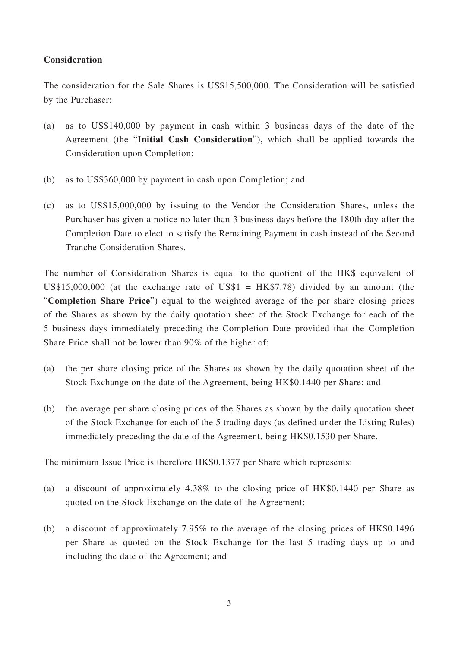#### **Consideration**

The consideration for the Sale Shares is US\$15,500,000. The Consideration will be satisfied by the Purchaser:

- (a) as to US\$140,000 by payment in cash within 3 business days of the date of the Agreement (the "**Initial Cash Consideration**"), which shall be applied towards the Consideration upon Completion;
- (b) as to US\$360,000 by payment in cash upon Completion; and
- (c) as to US\$15,000,000 by issuing to the Vendor the Consideration Shares, unless the Purchaser has given a notice no later than 3 business days before the 180th day after the Completion Date to elect to satisfy the Remaining Payment in cash instead of the Second Tranche Consideration Shares.

The number of Consideration Shares is equal to the quotient of the HK\$ equivalent of US\$15,000,000 (at the exchange rate of US\$1 =  $HK$7.78$ ) divided by an amount (the "**Completion Share Price**") equal to the weighted average of the per share closing prices of the Shares as shown by the daily quotation sheet of the Stock Exchange for each of the 5 business days immediately preceding the Completion Date provided that the Completion Share Price shall not be lower than 90% of the higher of:

- (a) the per share closing price of the Shares as shown by the daily quotation sheet of the Stock Exchange on the date of the Agreement, being HK\$0.1440 per Share; and
- (b) the average per share closing prices of the Shares as shown by the daily quotation sheet of the Stock Exchange for each of the 5 trading days (as defined under the Listing Rules) immediately preceding the date of the Agreement, being HK\$0.1530 per Share.

The minimum Issue Price is therefore HK\$0.1377 per Share which represents:

- (a) a discount of approximately 4.38% to the closing price of HK\$0.1440 per Share as quoted on the Stock Exchange on the date of the Agreement;
- (b) a discount of approximately 7.95% to the average of the closing prices of HK\$0.1496 per Share as quoted on the Stock Exchange for the last 5 trading days up to and including the date of the Agreement; and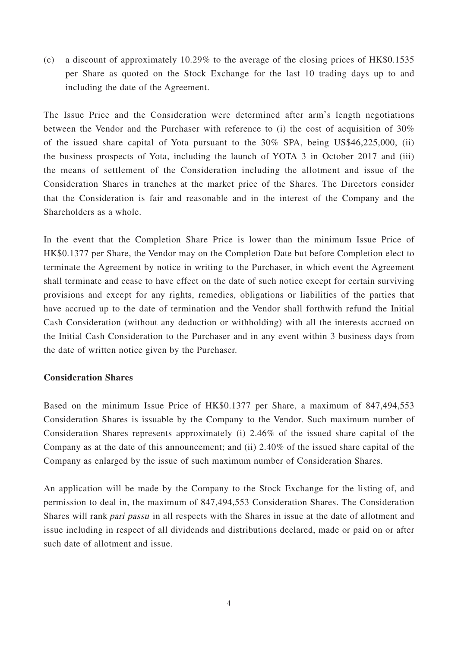(c) a discount of approximately 10.29% to the average of the closing prices of HK\$0.1535 per Share as quoted on the Stock Exchange for the last 10 trading days up to and including the date of the Agreement.

The Issue Price and the Consideration were determined after arm's length negotiations between the Vendor and the Purchaser with reference to (i) the cost of acquisition of 30% of the issued share capital of Yota pursuant to the 30% SPA, being US\$46,225,000, (ii) the business prospects of Yota, including the launch of YOTA 3 in October 2017 and (iii) the means of settlement of the Consideration including the allotment and issue of the Consideration Shares in tranches at the market price of the Shares. The Directors consider that the Consideration is fair and reasonable and in the interest of the Company and the Shareholders as a whole.

In the event that the Completion Share Price is lower than the minimum Issue Price of HK\$0.1377 per Share, the Vendor may on the Completion Date but before Completion elect to terminate the Agreement by notice in writing to the Purchaser, in which event the Agreement shall terminate and cease to have effect on the date of such notice except for certain surviving provisions and except for any rights, remedies, obligations or liabilities of the parties that have accrued up to the date of termination and the Vendor shall forthwith refund the Initial Cash Consideration (without any deduction or withholding) with all the interests accrued on the Initial Cash Consideration to the Purchaser and in any event within 3 business days from the date of written notice given by the Purchaser.

#### **Consideration Shares**

Based on the minimum Issue Price of HK\$0.1377 per Share, a maximum of 847,494,553 Consideration Shares is issuable by the Company to the Vendor. Such maximum number of Consideration Shares represents approximately (i) 2.46% of the issued share capital of the Company as at the date of this announcement; and (ii) 2.40% of the issued share capital of the Company as enlarged by the issue of such maximum number of Consideration Shares.

An application will be made by the Company to the Stock Exchange for the listing of, and permission to deal in, the maximum of 847,494,553 Consideration Shares. The Consideration Shares will rank pari passu in all respects with the Shares in issue at the date of allotment and issue including in respect of all dividends and distributions declared, made or paid on or after such date of allotment and issue.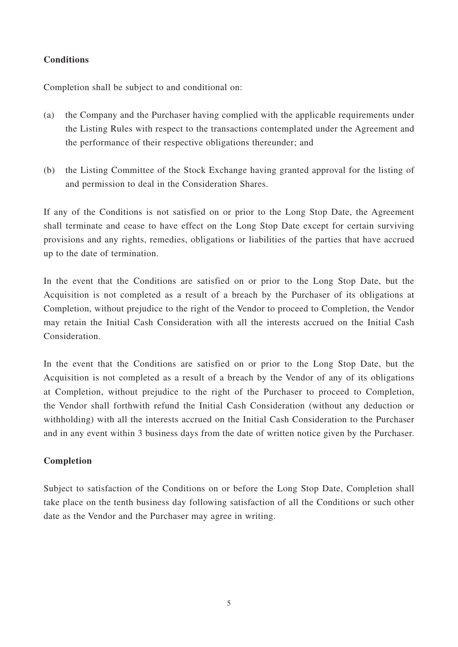### **Conditions**

Completion shall be subject to and conditional on:

- (a) the Company and the Purchaser having complied with the applicable requirements under the Listing Rules with respect to the transactions contemplated under the Agreement and the performance of their respective obligations thereunder; and
- (b) the Listing Committee of the Stock Exchange having granted approval for the listing of and permission to deal in the Consideration Shares.

If any of the Conditions is not satisfied on or prior to the Long Stop Date, the Agreement shall terminate and cease to have effect on the Long Stop Date except for certain surviving provisions and any rights, remedies, obligations or liabilities of the parties that have accrued up to the date of termination.

In the event that the Conditions are satisfied on or prior to the Long Stop Date, but the Acquisition is not completed as a result of a breach by the Purchaser of its obligations at Completion, without prejudice to the right of the Vendor to proceed to Completion, the Vendor may retain the Initial Cash Consideration with all the interests accrued on the Initial Cash Consideration.

In the event that the Conditions are satisfied on or prior to the Long Stop Date, but the Acquisition is not completed as a result of a breach by the Vendor of any of its obligations at Completion, without prejudice to the right of the Purchaser to proceed to Completion, the Vendor shall forthwith refund the Initial Cash Consideration (without any deduction or withholding) with all the interests accrued on the Initial Cash Consideration to the Purchaser and in any event within 3 business days from the date of written notice given by the Purchaser.

#### **Completion**

Subject to satisfaction of the Conditions on or before the Long Stop Date, Completion shall take place on the tenth business day following satisfaction of all the Conditions or such other date as the Vendor and the Purchaser may agree in writing.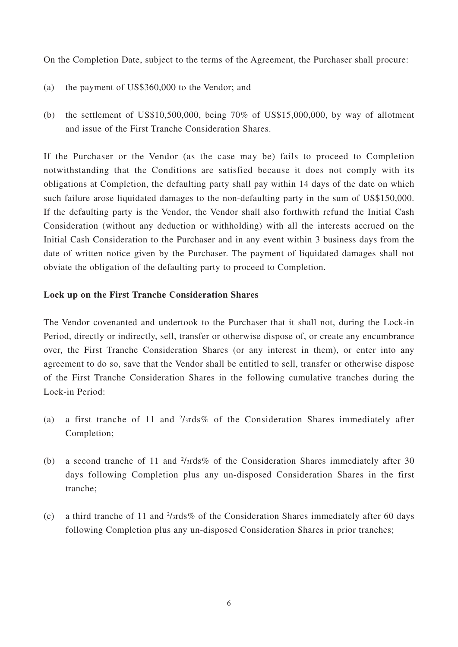On the Completion Date, subject to the terms of the Agreement, the Purchaser shall procure:

- (a) the payment of US\$360,000 to the Vendor; and
- (b) the settlement of US\$10,500,000, being 70% of US\$15,000,000, by way of allotment and issue of the First Tranche Consideration Shares.

If the Purchaser or the Vendor (as the case may be) fails to proceed to Completion notwithstanding that the Conditions are satisfied because it does not comply with its obligations at Completion, the defaulting party shall pay within 14 days of the date on which such failure arose liquidated damages to the non-defaulting party in the sum of US\$150,000. If the defaulting party is the Vendor, the Vendor shall also forthwith refund the Initial Cash Consideration (without any deduction or withholding) with all the interests accrued on the Initial Cash Consideration to the Purchaser and in any event within 3 business days from the date of written notice given by the Purchaser. The payment of liquidated damages shall not obviate the obligation of the defaulting party to proceed to Completion.

#### **Lock up on the First Tranche Consideration Shares**

The Vendor covenanted and undertook to the Purchaser that it shall not, during the Lock-in Period, directly or indirectly, sell, transfer or otherwise dispose of, or create any encumbrance over, the First Tranche Consideration Shares (or any interest in them), or enter into any agreement to do so, save that the Vendor shall be entitled to sell, transfer or otherwise dispose of the First Tranche Consideration Shares in the following cumulative tranches during the Lock-in Period:

- (a) a first tranche of 11 and  $\frac{2}{3}$ rds% of the Consideration Shares immediately after Completion;
- (b) a second tranche of 11 and  $\frac{2}{3}$ rds% of the Consideration Shares immediately after 30 days following Completion plus any un-disposed Consideration Shares in the first tranche;
- (c) a third tranche of 11 and  $\frac{2}{\text{3rds\%}}$  of the Consideration Shares immediately after 60 days following Completion plus any un-disposed Consideration Shares in prior tranches;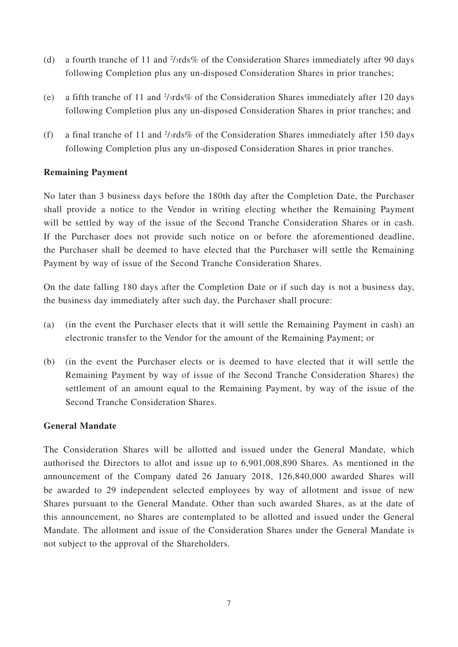- (d) a fourth tranche of 11 and  $\frac{2}{\text{3rds\%}}$  of the Consideration Shares immediately after 90 days following Completion plus any un-disposed Consideration Shares in prior tranches;
- (e) a fifth tranche of 11 and 2 /3rds% of the Consideration Shares immediately after 120 days following Completion plus any un-disposed Consideration Shares in prior tranches; and
- (f) a final tranche of 11 and  $\frac{2}{3}$ rds% of the Consideration Shares immediately after 150 days following Completion plus any un-disposed Consideration Shares in prior tranches.

#### **Remaining Payment**

No later than 3 business days before the 180th day after the Completion Date, the Purchaser shall provide a notice to the Vendor in writing electing whether the Remaining Payment will be settled by way of the issue of the Second Tranche Consideration Shares or in cash. If the Purchaser does not provide such notice on or before the aforementioned deadline, the Purchaser shall be deemed to have elected that the Purchaser will settle the Remaining Payment by way of issue of the Second Tranche Consideration Shares.

On the date falling 180 days after the Completion Date or if such day is not a business day, the business day immediately after such day, the Purchaser shall procure:

- (a) (in the event the Purchaser elects that it will settle the Remaining Payment in cash) an electronic transfer to the Vendor for the amount of the Remaining Payment; or
- (b) (in the event the Purchaser elects or is deemed to have elected that it will settle the Remaining Payment by way of issue of the Second Tranche Consideration Shares) the settlement of an amount equal to the Remaining Payment, by way of the issue of the Second Tranche Consideration Shares.

#### **General Mandate**

The Consideration Shares will be allotted and issued under the General Mandate, which authorised the Directors to allot and issue up to 6,901,008,890 Shares. As mentioned in the announcement of the Company dated 26 January 2018, 126,840,000 awarded Shares will be awarded to 29 independent selected employees by way of allotment and issue of new Shares pursuant to the General Mandate. Other than such awarded Shares, as at the date of this announcement, no Shares are contemplated to be allotted and issued under the General Mandate. The allotment and issue of the Consideration Shares under the General Mandate is not subject to the approval of the Shareholders.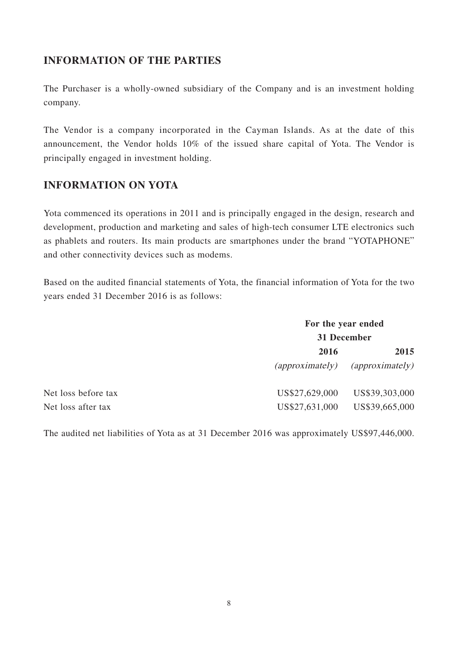### **INFORMATION OF THE PARTIES**

The Purchaser is a wholly-owned subsidiary of the Company and is an investment holding company.

The Vendor is a company incorporated in the Cayman Islands. As at the date of this announcement, the Vendor holds 10% of the issued share capital of Yota. The Vendor is principally engaged in investment holding.

## **INFORMATION ON YOTA**

Yota commenced its operations in 2011 and is principally engaged in the design, research and development, production and marketing and sales of high-tech consumer LTE electronics such as phablets and routers. Its main products are smartphones under the brand "YOTAPHONE" and other connectivity devices such as modems.

Based on the audited financial statements of Yota, the financial information of Yota for the two years ended 31 December 2016 is as follows:

|                     | For the year ended<br>31 December |                 |
|---------------------|-----------------------------------|-----------------|
|                     |                                   |                 |
|                     | 2016                              | 2015            |
|                     | (approximately)                   | (approximately) |
| Net loss before tax | US\$27,629,000                    | US\$39,303,000  |
| Net loss after tax  | US\$27,631,000                    | US\$39,665,000  |

The audited net liabilities of Yota as at 31 December 2016 was approximately US\$97,446,000.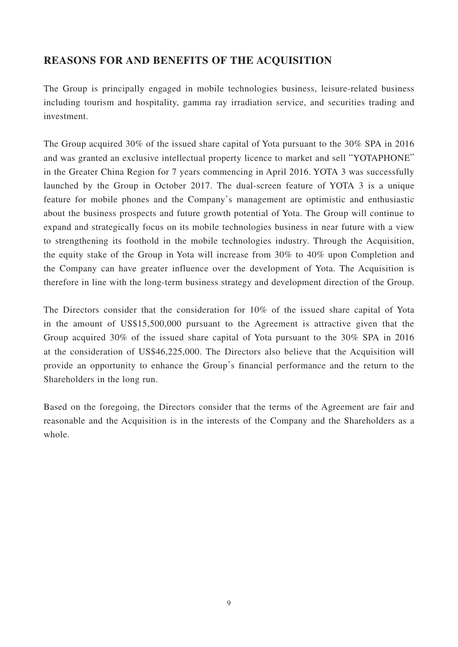### **REASONS FOR AND BENEFITS OF THE ACQUISITION**

The Group is principally engaged in mobile technologies business, leisure-related business including tourism and hospitality, gamma ray irradiation service, and securities trading and investment.

The Group acquired 30% of the issued share capital of Yota pursuant to the 30% SPA in 2016 and was granted an exclusive intellectual property licence to market and sell "YOTAPHONE" in the Greater China Region for 7 years commencing in April 2016. YOTA 3 was successfully launched by the Group in October 2017. The dual-screen feature of YOTA 3 is a unique feature for mobile phones and the Company's management are optimistic and enthusiastic about the business prospects and future growth potential of Yota. The Group will continue to expand and strategically focus on its mobile technologies business in near future with a view to strengthening its foothold in the mobile technologies industry. Through the Acquisition, the equity stake of the Group in Yota will increase from 30% to 40% upon Completion and the Company can have greater influence over the development of Yota. The Acquisition is therefore in line with the long-term business strategy and development direction of the Group.

The Directors consider that the consideration for 10% of the issued share capital of Yota in the amount of US\$15,500,000 pursuant to the Agreement is attractive given that the Group acquired 30% of the issued share capital of Yota pursuant to the 30% SPA in 2016 at the consideration of US\$46,225,000. The Directors also believe that the Acquisition will provide an opportunity to enhance the Group's financial performance and the return to the Shareholders in the long run.

Based on the foregoing, the Directors consider that the terms of the Agreement are fair and reasonable and the Acquisition is in the interests of the Company and the Shareholders as a whole.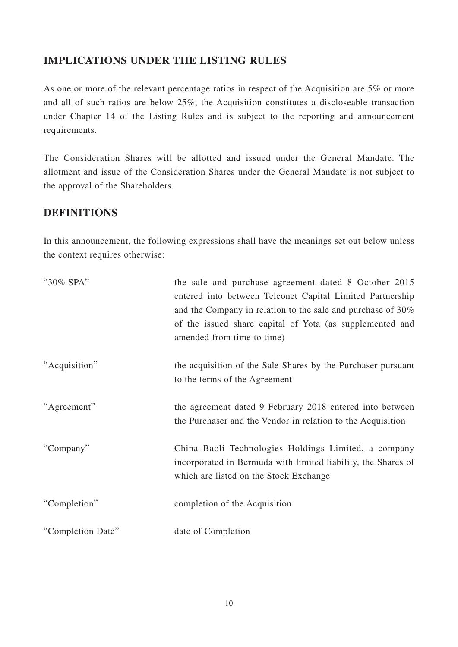### **IMPLICATIONS UNDER THE LISTING RULES**

As one or more of the relevant percentage ratios in respect of the Acquisition are 5% or more and all of such ratios are below 25%, the Acquisition constitutes a discloseable transaction under Chapter 14 of the Listing Rules and is subject to the reporting and announcement requirements.

The Consideration Shares will be allotted and issued under the General Mandate. The allotment and issue of the Consideration Shares under the General Mandate is not subject to the approval of the Shareholders.

## **DEFINITIONS**

In this announcement, the following expressions shall have the meanings set out below unless the context requires otherwise:

| "30% SPA"         | the sale and purchase agreement dated 8 October 2015<br>entered into between Telconet Capital Limited Partnership<br>and the Company in relation to the sale and purchase of 30%<br>of the issued share capital of Yota (as supplemented and<br>amended from time to time) |
|-------------------|----------------------------------------------------------------------------------------------------------------------------------------------------------------------------------------------------------------------------------------------------------------------------|
| "Acquisition"     | the acquisition of the Sale Shares by the Purchaser pursuant<br>to the terms of the Agreement                                                                                                                                                                              |
| "Agreement"       | the agreement dated 9 February 2018 entered into between<br>the Purchaser and the Vendor in relation to the Acquisition                                                                                                                                                    |
| "Company"         | China Baoli Technologies Holdings Limited, a company<br>incorporated in Bermuda with limited liability, the Shares of<br>which are listed on the Stock Exchange                                                                                                            |
| "Completion"      | completion of the Acquisition                                                                                                                                                                                                                                              |
| "Completion Date" | date of Completion                                                                                                                                                                                                                                                         |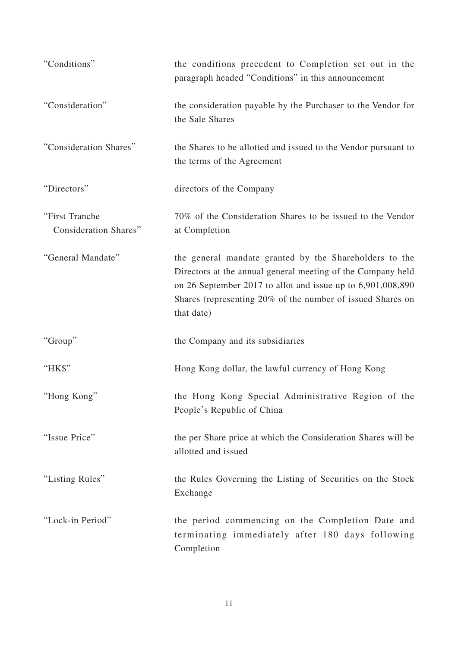| "Conditions"                            | the conditions precedent to Completion set out in the<br>paragraph headed "Conditions" in this announcement                                                                                                                                                      |
|-----------------------------------------|------------------------------------------------------------------------------------------------------------------------------------------------------------------------------------------------------------------------------------------------------------------|
| "Consideration"                         | the consideration payable by the Purchaser to the Vendor for<br>the Sale Shares                                                                                                                                                                                  |
| "Consideration Shares"                  | the Shares to be allotted and issued to the Vendor pursuant to<br>the terms of the Agreement                                                                                                                                                                     |
| "Directors"                             | directors of the Company                                                                                                                                                                                                                                         |
| "First Tranche<br>Consideration Shares" | 70% of the Consideration Shares to be issued to the Vendor<br>at Completion                                                                                                                                                                                      |
| "General Mandate"                       | the general mandate granted by the Shareholders to the<br>Directors at the annual general meeting of the Company held<br>on 26 September 2017 to allot and issue up to 6,901,008,890<br>Shares (representing 20% of the number of issued Shares on<br>that date) |
| "Group"                                 | the Company and its subsidiaries                                                                                                                                                                                                                                 |
| "HK\$"                                  | Hong Kong dollar, the lawful currency of Hong Kong                                                                                                                                                                                                               |
| "Hong Kong"                             | the Hong Kong Special Administrative Region of the<br>People's Republic of China                                                                                                                                                                                 |
| "Issue Price"                           | the per Share price at which the Consideration Shares will be<br>allotted and issued                                                                                                                                                                             |
| "Listing Rules"                         | the Rules Governing the Listing of Securities on the Stock<br>Exchange                                                                                                                                                                                           |
| "Lock-in Period"                        | the period commencing on the Completion Date and<br>terminating immediately after 180 days following<br>Completion                                                                                                                                               |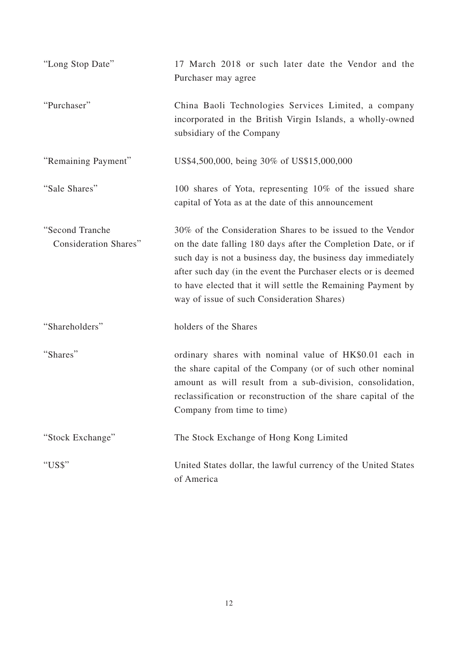| "Long Stop Date"                                | 17 March 2018 or such later date the Vendor and the<br>Purchaser may agree                                                                                                                                                                                                                                                                                                  |
|-------------------------------------------------|-----------------------------------------------------------------------------------------------------------------------------------------------------------------------------------------------------------------------------------------------------------------------------------------------------------------------------------------------------------------------------|
| "Purchaser"                                     | China Baoli Technologies Services Limited, a company<br>incorporated in the British Virgin Islands, a wholly-owned<br>subsidiary of the Company                                                                                                                                                                                                                             |
| "Remaining Payment"                             | US\$4,500,000, being 30% of US\$15,000,000                                                                                                                                                                                                                                                                                                                                  |
| "Sale Shares"                                   | 100 shares of Yota, representing 10% of the issued share<br>capital of Yota as at the date of this announcement                                                                                                                                                                                                                                                             |
| "Second Tranche<br><b>Consideration Shares"</b> | 30% of the Consideration Shares to be issued to the Vendor<br>on the date falling 180 days after the Completion Date, or if<br>such day is not a business day, the business day immediately<br>after such day (in the event the Purchaser elects or is deemed<br>to have elected that it will settle the Remaining Payment by<br>way of issue of such Consideration Shares) |
| "Shareholders"                                  | holders of the Shares                                                                                                                                                                                                                                                                                                                                                       |
| "Shares"                                        | ordinary shares with nominal value of HK\$0.01 each in<br>the share capital of the Company (or of such other nominal<br>amount as will result from a sub-division, consolidation,<br>reclassification or reconstruction of the share capital of the<br>Company from time to time)                                                                                           |
| "Stock Exchange"                                | The Stock Exchange of Hong Kong Limited                                                                                                                                                                                                                                                                                                                                     |
| "US\$"                                          | United States dollar, the lawful currency of the United States<br>of America                                                                                                                                                                                                                                                                                                |